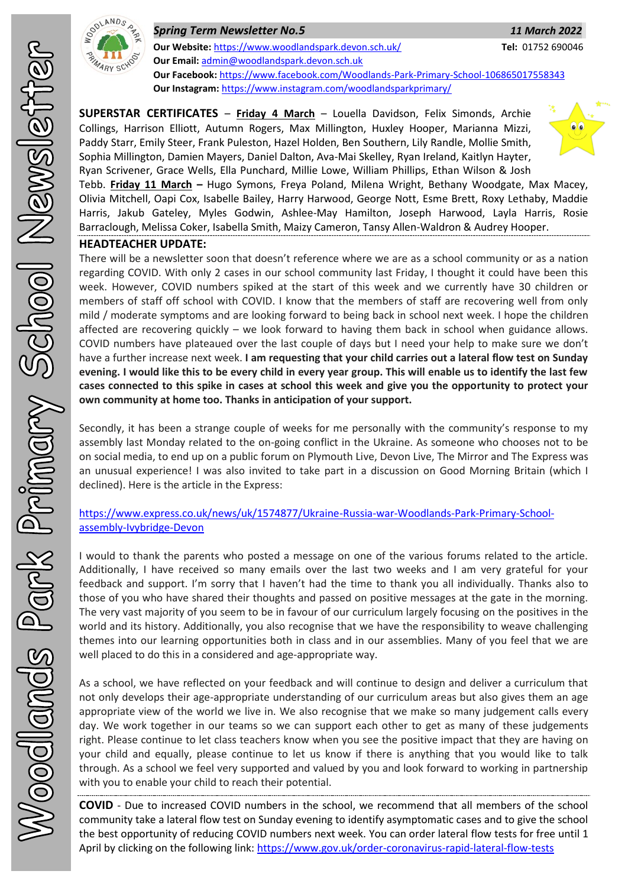

*Spring Term Newsletter No.5 11 March 2022* **Our Website:** <https://www.woodlandspark.devon.sch.uk/> **Tel:** 01752 690046 **Our Email:** [admin@woodlandspark.devon.sch.uk](mailto:admin@woodlandspark.devon.sch.uk) **Our Facebook:** <https://www.facebook.com/Woodlands-Park-Primary-School-106865017558343> **Our Instagram:** <https://www.instagram.com/woodlandsparkprimary/>

**SUPERSTAR CERTIFICATES** – **Friday 4 March** – Louella Davidson, Felix Simonds, Archie Collings, Harrison Elliott, Autumn Rogers, Max Millington, Huxley Hooper, Marianna Mizzi, Paddy Starr, Emily Steer, Frank Puleston, Hazel Holden, Ben Southern, Lily Randle, Mollie Smith, Sophia Millington, Damien Mayers, Daniel Dalton, Ava-Mai Skelley, Ryan Ireland, Kaitlyn Hayter, Ryan Scrivener, Grace Wells, Ella Punchard, Millie Lowe, William Phillips, Ethan Wilson & Josh



Tebb. **Friday 11 March –** Hugo Symons, Freya Poland, Milena Wright, Bethany Woodgate, Max Macey, Olivia Mitchell, Oapi Cox, Isabelle Bailey, Harry Harwood, George Nott, Esme Brett, Roxy Lethaby, Maddie Harris, Jakub Gateley, Myles Godwin, Ashlee-May Hamilton, Joseph Harwood, Layla Harris, Rosie Barraclough, Melissa Coker, Isabella Smith, Maizy Cameron, Tansy Allen-Waldron & Audrey Hooper.

## **HEADTEACHER UPDATE:**

There will be a newsletter soon that doesn't reference where we are as a school community or as a nation regarding COVID. With only 2 cases in our school community last Friday, I thought it could have been this week. However, COVID numbers spiked at the start of this week and we currently have 30 children or members of staff off school with COVID. I know that the members of staff are recovering well from only mild / moderate symptoms and are looking forward to being back in school next week. I hope the children affected are recovering quickly – we look forward to having them back in school when guidance allows. COVID numbers have plateaued over the last couple of days but I need your help to make sure we don't have a further increase next week. **I am requesting that your child carries out a lateral flow test on Sunday evening. I would like this to be every child in every year group. This will enable us to identify the last few cases connected to this spike in cases at school this week and give you the opportunity to protect your own community at home too. Thanks in anticipation of your support.**

Secondly, it has been a strange couple of weeks for me personally with the community's response to my assembly last Monday related to the on-going conflict in the Ukraine. As someone who chooses not to be on social media, to end up on a public forum on Plymouth Live, Devon Live, The Mirror and The Express was an unusual experience! I was also invited to take part in a discussion on Good Morning Britain (which I declined). Here is the article in the Express:

## [https://www.express.co.uk/news/uk/1574877/Ukraine-Russia-war-Woodlands-Park-Primary-School](https://www.express.co.uk/news/uk/1574877/Ukraine-Russia-war-Woodlands-Park-Primary-School-assembly-Ivybridge-Devon)[assembly-Ivybridge-Devon](https://www.express.co.uk/news/uk/1574877/Ukraine-Russia-war-Woodlands-Park-Primary-School-assembly-Ivybridge-Devon)

I would to thank the parents who posted a message on one of the various forums related to the article. Additionally, I have received so many emails over the last two weeks and I am very grateful for your feedback and support. I'm sorry that I haven't had the time to thank you all individually. Thanks also to those of you who have shared their thoughts and passed on positive messages at the gate in the morning. The very vast majority of you seem to be in favour of our curriculum largely focusing on the positives in the world and its history. Additionally, you also recognise that we have the responsibility to weave challenging themes into our learning opportunities both in class and in our assemblies. Many of you feel that we are well placed to do this in a considered and age-appropriate way.

As a school, we have reflected on your feedback and will continue to design and deliver a curriculum that not only develops their age-appropriate understanding of our curriculum areas but also gives them an age appropriate view of the world we live in. We also recognise that we make so many judgement calls every day. We work together in our teams so we can support each other to get as many of these judgements right. Please continue to let class teachers know when you see the positive impact that they are having on your child and equally, please continue to let us know if there is anything that you would like to talk through. As a school we feel very supported and valued by you and look forward to working in partnership with you to enable your child to reach their potential.

**COVID** - Due to increased COVID numbers in the school, we recommend that all members of the school community take a lateral flow test on Sunday evening to identify asymptomatic cases and to give the school the best opportunity of reducing COVID numbers next week. You can order lateral flow tests for free until 1 April by clicking on the following link:<https://www.gov.uk/order-coronavirus-rapid-lateral-flow-tests>